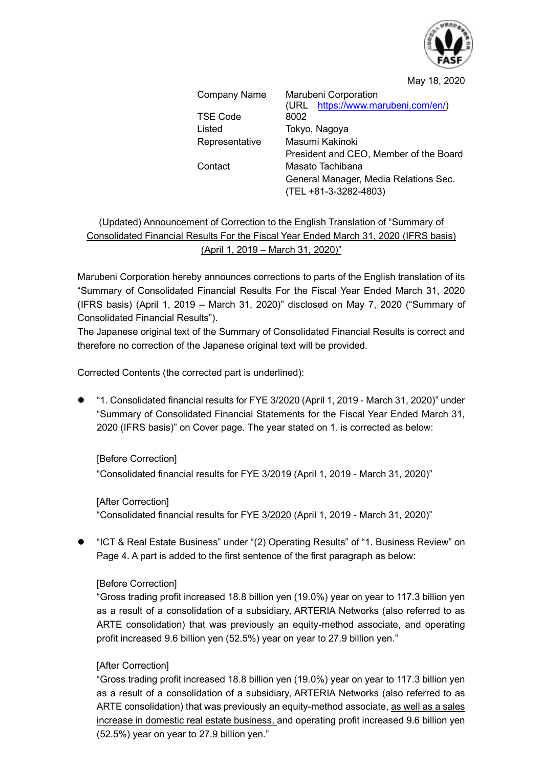

May 18, 2020

Company Name Marubeni Corporation (URL [https://www.marubeni.com/en/\)](https://www.marubeni.com/en/) TSE Code 8002 Listed Tokyo, Nagoya Representative Masumi Kakinoki President and CEO, Member of the Board Contact Masato Tachibana General Manager, Media Relations Sec. (TEL +81-3-3282-4803)

## (Updated) Announcement of Correction to the English Translation of "Summary of Consolidated Financial Results For the Fiscal Year Ended March 31, 2020 (IFRS basis) (April 1, 2019 – March 31, 2020)"

Marubeni Corporation hereby announces corrections to parts of the English translation of its "Summary of Consolidated Financial Results For the Fiscal Year Ended March 31, 2020 (IFRS basis) (April 1, 2019 – March 31, 2020)" disclosed on May 7, 2020 ("Summary of Consolidated Financial Results").

The Japanese original text of the Summary of Consolidated Financial Results is correct and therefore no correction of the Japanese original text will be provided.

Corrected Contents (the corrected part is underlined):

 "1. Consolidated financial results for FYE 3/2020 (April 1, 2019 - March 31, 2020)" under "Summary of Consolidated Financial Statements for the Fiscal Year Ended March 31, 2020 (IFRS basis)" on Cover page. The year stated on 1. is corrected as below:

[Before Correction] "Consolidated financial results for FYE 3/2019 (April 1, 2019 - March 31, 2020)"

[After Correction] "Consolidated financial results for FYE 3/2020 (April 1, 2019 - March 31, 2020)"

 "ICT & Real Estate Business" under "(2) Operating Results" of "1. Business Review" on Page 4. A part is added to the first sentence of the first paragraph as below:

## [Before Correction]

"Gross trading profit increased 18.8 billion yen (19.0%) year on year to 117.3 billion yen as a result of a consolidation of a subsidiary, ARTERIA Networks (also referred to as ARTE consolidation) that was previously an equity-method associate, and operating profit increased 9.6 billion yen (52.5%) year on year to 27.9 billion yen."

## **[After Correction]**

"Gross trading profit increased 18.8 billion yen (19.0%) year on year to 117.3 billion yen as a result of a consolidation of a subsidiary, ARTERIA Networks (also referred to as ARTE consolidation) that was previously an equity-method associate, as well as a sales increase in domestic real estate business, and operating profit increased 9.6 billion yen (52.5%) year on year to 27.9 billion yen."